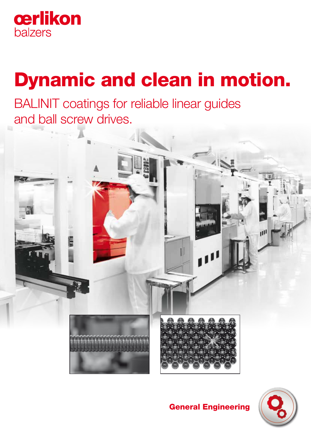

# Dynamic and clean in motion.

BALINIT coatings for reliable linear guides and ball screw drives.